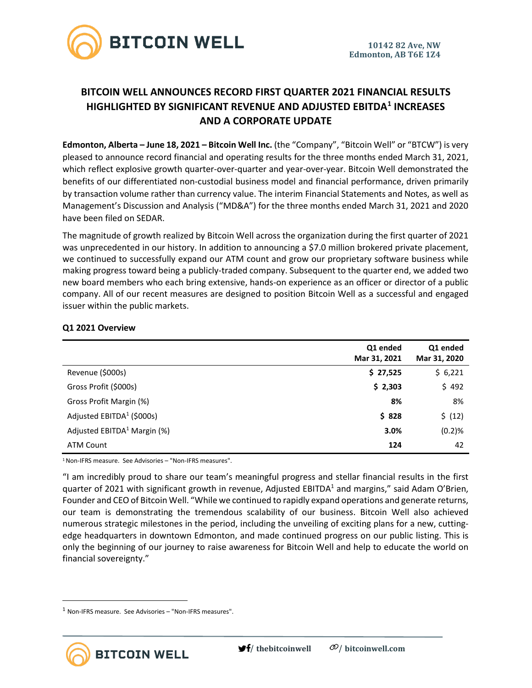

# **BITCOIN WELL ANNOUNCES RECORD FIRST QUARTER 2021 FINANCIAL RESULTS HIGHLIGHTED BY SIGNIFICANT REVENUE AND ADJUSTED EBITDA<sup>1</sup> INCREASES AND A CORPORATE UPDATE**

**Edmonton, Alberta – June 18, 2021 – Bitcoin Well Inc.** (the "Company", "Bitcoin Well" or "BTCW") is very pleased to announce record financial and operating results for the three months ended March 31, 2021, which reflect explosive growth quarter-over-quarter and year-over-year. Bitcoin Well demonstrated the benefits of our differentiated non-custodial business model and financial performance, driven primarily by transaction volume rather than currency value. The interim Financial Statements and Notes, as well as Management's Discussion and Analysis ("MD&A") for the three months ended March 31, 2021 and 2020 have been filed on SEDAR.

The magnitude of growth realized by Bitcoin Well across the organization during the first quarter of 2021 was unprecedented in our history. In addition to announcing a \$7.0 million brokered private placement, we continued to successfully expand our ATM count and grow our proprietary software business while making progress toward being a publicly-traded company. Subsequent to the quarter end, we added two new board members who each bring extensive, hands-on experience as an officer or director of a public company. All of our recent measures are designed to position Bitcoin Well as a successful and engaged issuer within the public markets.

|                                       | Q1 ended<br>Mar 31, 2021 | Q1 ended<br>Mar 31, 2020 |
|---------------------------------------|--------------------------|--------------------------|
| Revenue (\$000s)                      | \$27,525                 | \$6,221                  |
| Gross Profit (\$000s)                 | \$2,303                  | \$492                    |
| Gross Profit Margin (%)               | 8%                       | 8%                       |
| Adjusted EBITDA <sup>1</sup> (\$000s) | \$828                    | \$ (12)                  |
| Adjusted $EBITDA1 Margin (%)$         | 3.0%                     | (0.2)%                   |
| ATM Count                             | 124                      | 42                       |

### **Q1 2021 Overview**

<sup>1</sup> Non-IFRS measure. See Advisories – "Non-IFRS measures".

"I am incredibly proud to share our team's meaningful progress and stellar financial results in the first quarter of 2021 with significant growth in revenue, Adjusted EBITDA<sup>1</sup> and margins," said Adam O'Brien, Founder and CEO of Bitcoin Well. "While we continued to rapidly expand operations and generate returns, our team is demonstrating the tremendous scalability of our business. Bitcoin Well also achieved numerous strategic milestones in the period, including the unveiling of exciting plans for a new, cuttingedge headquarters in downtown Edmonton, and made continued progress on our public listing. This is only the beginning of our journey to raise awareness for Bitcoin Well and help to educate the world on financial sovereignty."

**BITCOIN WELL** 

 $1$  Non-IFRS measure. See Advisories – "Non-IFRS measures".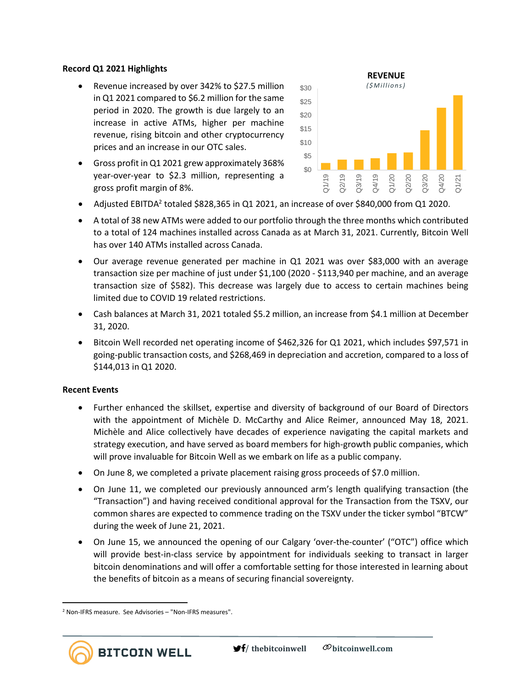### **Record Q1 2021 Highlights**

- Revenue increased by over 342% to \$27.5 million in Q1 2021 compared to \$6.2 million for the same period in 2020. The growth is due largely to an increase in active ATMs, higher per machine revenue, rising bitcoin and other cryptocurrency prices and an increase in our OTC sales.
- Gross profit in Q1 2021 grew approximately 368% year-over-year to \$2.3 million, representing a gross profit margin of 8%.



- Adjusted EBITDA<sup>2</sup> totaled \$828,365 in Q1 2021, an increase of over \$840,000 from Q1 2020.
- A total of 38 new ATMs were added to our portfolio through the three months which contributed to a total of 124 machines installed across Canada as at March 31, 2021. Currently, Bitcoin Well has over 140 ATMs installed across Canada.
- Our average revenue generated per machine in Q1 2021 was over \$83,000 with an average transaction size per machine of just under \$1,100 (2020 - \$113,940 per machine, and an average transaction size of \$582). This decrease was largely due to access to certain machines being limited due to COVID 19 related restrictions.
- Cash balances at March 31, 2021 totaled \$5.2 million, an increase from \$4.1 million at December 31, 2020.
- Bitcoin Well recorded net operating income of \$462,326 for Q1 2021, which includes \$97,571 in going-public transaction costs, and \$268,469 in depreciation and accretion, compared to a loss of \$144,013 in Q1 2020.

### **Recent Events**

- Further enhanced the skillset, expertise and diversity of background of our Board of Directors with the appointment of Michèle D. McCarthy and Alice Reimer, announced May 18, 2021. Michèle and Alice collectively have decades of experience navigating the capital markets and strategy execution, and have served as board members for high-growth public companies, which will prove invaluable for Bitcoin Well as we embark on life as a public company.
- On June 8, we completed a private placement raising gross proceeds of \$7.0 million.
- On June 11, we completed our previously announced arm's length qualifying transaction (the "Transaction") and having received conditional approval for the Transaction from the TSXV, our common shares are expected to commence trading on the TSXV under the ticker symbol "BTCW" during the week of June 21, 2021.
- On June 15, we announced the opening of our Calgary 'over-the-counter' ("OTC") office which will provide best-in-class service by appointment for individuals seeking to transact in larger bitcoin denominations and will offer a comfortable setting for those interested in learning about the benefits of bitcoin as a means of securing financial sovereignty.

**BITCOIN WELL** 

<sup>2</sup> Non-IFRS measure. See Advisories – "Non-IFRS measures".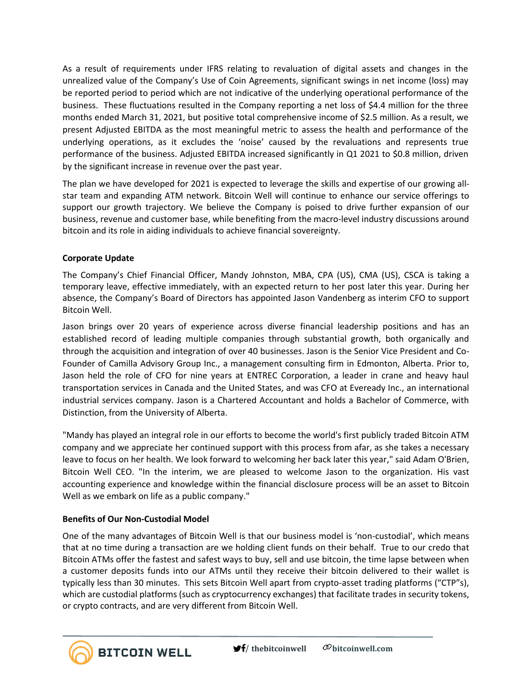As a result of requirements under IFRS relating to revaluation of digital assets and changes in the unrealized value of the Company's Use of Coin Agreements, significant swings in net income (loss) may be reported period to period which are not indicative of the underlying operational performance of the business. These fluctuations resulted in the Company reporting a net loss of \$4.4 million for the three months ended March 31, 2021, but positive total comprehensive income of \$2.5 million. As a result, we present Adjusted EBITDA as the most meaningful metric to assess the health and performance of the underlying operations, as it excludes the 'noise' caused by the revaluations and represents true performance of the business. Adjusted EBITDA increased significantly in Q1 2021 to \$0.8 million, driven by the significant increase in revenue over the past year.

The plan we have developed for 2021 is expected to leverage the skills and expertise of our growing allstar team and expanding ATM network. Bitcoin Well will continue to enhance our service offerings to support our growth trajectory. We believe the Company is poised to drive further expansion of our business, revenue and customer base, while benefiting from the macro-level industry discussions around bitcoin and its role in aiding individuals to achieve financial sovereignty.

# **Corporate Update**

The Company's Chief Financial Officer, Mandy Johnston, MBA, CPA (US), CMA (US), CSCA is taking a temporary leave, effective immediately, with an expected return to her post later this year. During her absence, the Company's Board of Directors has appointed Jason Vandenberg as interim CFO to support Bitcoin Well.

Jason brings over 20 years of experience across diverse financial leadership positions and has an established record of leading multiple companies through substantial growth, both organically and through the acquisition and integration of over 40 businesses. Jason is the Senior Vice President and Co-Founder of Camilla Advisory Group Inc., a management consulting firm in Edmonton, Alberta. Prior to, Jason held the role of CFO for nine years at ENTREC Corporation, a leader in crane and heavy haul transportation services in Canada and the United States, and was CFO at Eveready Inc., an international industrial services company. Jason is a Chartered Accountant and holds a Bachelor of Commerce, with Distinction, from the University of Alberta.

"Mandy has played an integral role in our efforts to become the world's first publicly traded Bitcoin ATM company and we appreciate her continued support with this process from afar, as she takes a necessary leave to focus on her health. We look forward to welcoming her back later this year," said Adam O'Brien, Bitcoin Well CEO. "In the interim, we are pleased to welcome Jason to the organization. His vast accounting experience and knowledge within the financial disclosure process will be an asset to Bitcoin Well as we embark on life as a public company."

# **Benefits of Our Non-Custodial Model**

**BITCOIN WELL** 

One of the many advantages of Bitcoin Well is that our business model is 'non-custodial', which means that at no time during a transaction are we holding client funds on their behalf. True to our credo that Bitcoin ATMs offer the fastest and safest ways to buy, sell and use bitcoin, the time lapse between when a customer deposits funds into our ATMs until they receive their bitcoin delivered to their wallet is typically less than 30 minutes. This sets Bitcoin Well apart from crypto-asset trading platforms ("CTP"s), which are custodial platforms (such as cryptocurrency exchanges) that facilitate trades in security tokens, or crypto contracts, and are very different from Bitcoin Well.

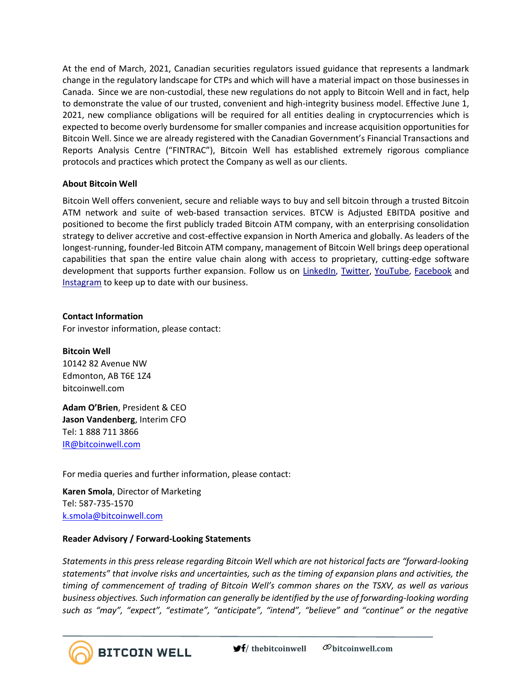At the end of March, 2021, Canadian securities regulators issued guidance that represents a landmark change in the regulatory landscape for CTPs and which will have a material impact on those businesses in Canada. Since we are non-custodial, these new regulations do not apply to Bitcoin Well and in fact, help to demonstrate the value of our trusted, convenient and high-integrity business model. Effective June 1, 2021, new compliance obligations will be required for all entities dealing in cryptocurrencies which is expected to become overly burdensome for smaller companies and increase acquisition opportunities for Bitcoin Well. Since we are already registered with the Canadian Government's Financial Transactions and Reports Analysis Centre ("FINTRAC"), Bitcoin Well has established extremely rigorous compliance protocols and practices which protect the Company as well as our clients.

### **About Bitcoin Well**

Bitcoin Well offers convenient, secure and reliable ways to buy and sell bitcoin through a trusted Bitcoin ATM network and suite of web-based transaction services. BTCW is Adjusted EBITDA positive and positioned to become the first publicly traded Bitcoin ATM company, with an enterprising consolidation strategy to deliver accretive and cost-effective expansion in North America and globally. As leaders of the longest-running, founder-led Bitcoin ATM company, management of Bitcoin Well brings deep operational capabilities that span the entire value chain along with access to proprietary, cutting-edge software development that supports further expansion. Follow us on [LinkedIn,](https://www.linkedin.com/company/bitcoinwell/) [Twitter,](https://twitter.com/TheBitcoinWell) [YouTube,](https://www.youtube.com/channel/UCeHRFsSr3KEGD5kECjlvC4g) [Facebook](https://www.facebook.com/thebitcoinwell) and [Instagram](https://www.instagram.com/thebitcoinwell/) to keep up to date with our business.

**Contact Information** 

For investor information, please contact:

**Bitcoin Well** 10142 82 Avenue NW Edmonton, AB T6E 1Z4 bitcoinwell.com

**Adam O'Brien**, President & CEO **Jason Vandenberg**, Interim CFO Tel: 1 888 711 3866 [IR@bitcoinwell.com](mailto:IR@bitcoinwell.com)

For media queries and further information, please contact:

**Karen Smola**, Director of Marketing Tel: 587-735-1570 [k.smola@bitcoinwell.com](mailto:k.smola@bitcoinwell.com)

### **Reader Advisory / Forward-Looking Statements**

**BITCOIN WELL** 

*Statements in this press release regarding Bitcoin Well which are not historical facts are "forward-looking statements" that involve risks and uncertainties, such as the timing of expansion plans and activities, the timing of commencement of trading of Bitcoin Well's common shares on the TSXV, as well as various business objectives. Such information can generally be identified by the use of forwarding-looking wording such as "may", "expect", "estimate", "anticipate", "intend", "believe" and "continue" or the negative*